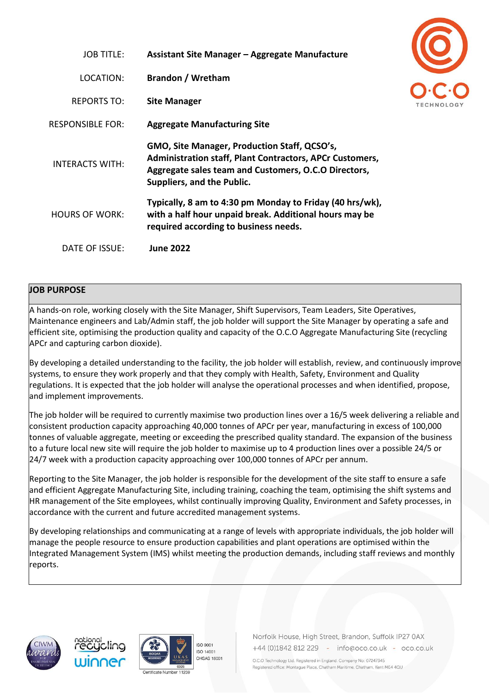| <b>JOB TITLE:</b>      | <b>Assistant Site Manager – Aggregate Manufacture</b>                                                                                                                                                 |
|------------------------|-------------------------------------------------------------------------------------------------------------------------------------------------------------------------------------------------------|
| LOCATION:              | <b>Brandon / Wretham</b>                                                                                                                                                                              |
| <b>REPORTS TO:</b>     | <b>Site Manager</b>                                                                                                                                                                                   |
| RESPONSIBLE FOR:       | <b>Aggregate Manufacturing Site</b>                                                                                                                                                                   |
| <b>INTERACTS WITH:</b> | GMO, Site Manager, Production Staff, QCSO's,<br><b>Administration staff, Plant Contractors, APCr Customers,</b><br>Aggregate sales team and Customers, O.C.O Directors,<br>Suppliers, and the Public. |
| <b>HOURS OF WORK:</b>  | Typically, 8 am to 4:30 pm Monday to Friday (40 hrs/wk),<br>with a half hour unpaid break. Additional hours may be<br>required according to business needs.                                           |
| DATE OF ISSUE:         | <b>June 2022</b>                                                                                                                                                                                      |

## **JOB PURPOSE**

A hands-on role, working closely with the Site Manager, Shift Supervisors, Team Leaders, Site Operatives, Maintenance engineers and Lab/Admin staff, the job holder will support the Site Manager by operating a safe and efficient site, optimising the production quality and capacity of the O.C.O Aggregate Manufacturing Site (recycling APCr and capturing carbon dioxide).

By developing a detailed understanding to the facility, the job holder will establish, review, and continuously improve systems, to ensure they work properly and that they comply with Health, Safety, Environment and Quality regulations. It is expected that the job holder will analyse the operational processes and when identified, propose, and implement improvements.

The job holder will be required to currently maximise two production lines over a 16/5 week delivering a reliable and consistent production capacity approaching 40,000 tonnes of APCr per year, manufacturing in excess of 100,000 tonnes of valuable aggregate, meeting or exceeding the prescribed quality standard. The expansion of the business to a future local new site will require the job holder to maximise up to 4 production lines over a possible 24/5 or 24/7 week with a production capacity approaching over 100,000 tonnes of APCr per annum.

Reporting to the Site Manager, the job holder is responsible for the development of the site staff to ensure a safe and efficient Aggregate Manufacturing Site, including training, coaching the team, optimising the shift systems and HR management of the Site employees, whilst continually improving Quality, Environment and Safety processes, in accordance with the current and future accredited management systems.

By developing relationships and communicating at a range of levels with appropriate individuals, the job holder will manage the people resource to ensure production capabilities and plant operations are optimised within the Integrated Management System (IMS) whilst meeting the production demands, including staff reviews and monthly reports.









Norfolk House, High Street, Brandon, Suffolk IP27 0AX +44 (0)1842 812 229 - info@oco.co.uk - oco.co.uk

O.C.O Technology Ltd. Registered in England. Company No: 07247345 Registered office: Montaque Place, Chatham Maritime, Chatham, Kent ME4 4QU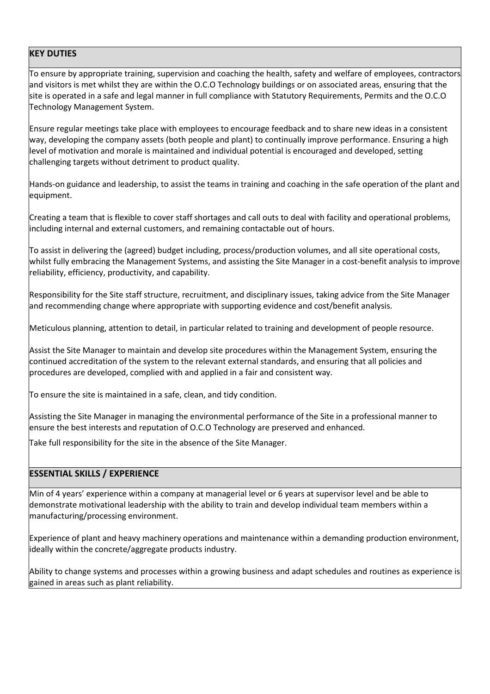## **KEY DUTIES**

To ensure by appropriate training, supervision and coaching the health, safety and welfare of employees, contractors and visitors is met whilst they are within the O.C.O Technology buildings or on associated areas, ensuring that the site is operated in a safe and legal manner in full compliance with Statutory Requirements, Permits and the O.C.O Technology Management System.

Ensure regular meetings take place with employees to encourage feedback and to share new ideas in a consistent way, developing the company assets (both people and plant) to continually improve performance. Ensuring a high level of motivation and morale is maintained and individual potential is encouraged and developed, setting challenging targets without detriment to product quality.

Hands-on guidance and leadership, to assist the teams in training and coaching in the safe operation of the plant and equipment.

Creating a team that is flexible to cover staff shortages and call outs to deal with facility and operational problems, including internal and external customers, and remaining contactable out of hours.

To assist in delivering the (agreed) budget including, process/production volumes, and all site operational costs, whilst fully embracing the Management Systems, and assisting the Site Manager in a cost-benefit analysis to improve reliability, efficiency, productivity, and capability.

Responsibility for the Site staff structure, recruitment, and disciplinary issues, taking advice from the Site Manager and recommending change where appropriate with supporting evidence and cost/benefit analysis.

Meticulous planning, attention to detail, in particular related to training and development of people resource.

Assist the Site Manager to maintain and develop site procedures within the Management System, ensuring the continued accreditation of the system to the relevant external standards, and ensuring that all policies and procedures are developed, complied with and applied in a fair and consistent way.

To ensure the site is maintained in a safe, clean, and tidy condition.

Assisting the Site Manager in managing the environmental performance of the Site in a professional manner to ensure the best interests and reputation of O.C.O Technology are preserved and enhanced.

Take full responsibility for the site in the absence of the Site Manager.

## **ESSENTIAL SKILLS / EXPERIENCE**

Min of 4 years' experience within a company at managerial level or 6 years at supervisor level and be able to demonstrate motivational leadership with the ability to train and develop individual team members within a manufacturing/processing environment.

Experience of plant and heavy machinery operations and maintenance within a demanding production environment, ideally within the concrete/aggregate products industry.

Ability to change systems and processes within a growing business and adapt schedules and routines as experience is gained in areas such as plant reliability.